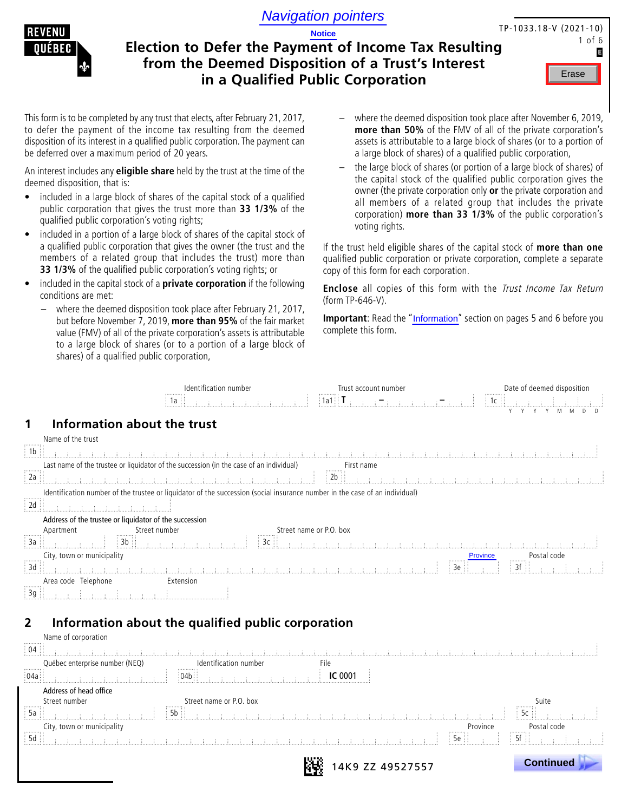

# **Election to Defer the Payment of Income Tax Resulting from the Deemed Disposition of a Trust's Interest in a Qualified Public Corporation Navigation pointers**<br> **Example 1 Notice**<br> **Example 2 Notice**<br> **Example 2 Notarity 1 Notarity 1 Notarity 1 Notarity 1 Notarity 1 Example 2 Notarity 1 Example 2 Notarity 1 Example 2 Notarity 1 Example 2 Notarity 1 Example 2**

| TP-1033.18-V (2021-10) |  |        |   |
|------------------------|--|--------|---|
|                        |  | 1 of 6 |   |
|                        |  |        | E |

This form is to be completed by any trust that elects, after February 21, 2017, to defer the payment of the income tax resulting from the deemed disposition of its interest in a qualified public corporation. The payment can be deferred over a maximum period of 20 years.

An interest includes any **eligible share** held by the trust at the time of the deemed disposition, that is:

- included in a large block of shares of the capital stock of a qualified public corporation that gives the trust more than **33 1/3%** of the qualified public corporation's voting rights;
- included in a portion of a large block of shares of the capital stock of a qualified public corporation that gives the owner (the trust and the members of a related group that includes the trust) more than **33 1/3%** of the qualified public corporation's voting rights; or
- included in the capital stock of a **private corporation** if the following conditions are met:
	- where the deemed disposition took place after February 21, 2017, but before November 7, 2019, **more than 95%** of the fair market value (FMV) of all of the private corporation's assets is attributable to a large block of shares (or to a portion of a large block of shares) of a qualified public corporation,
- where the deemed disposition took place after November 6, 2019, **more than 50%** of the FMV of all of the private corporation's assets is attributable to a large block of shares (or to a portion of a large block of shares) of a qualified public corporation,
- the large block of shares (or portion of a large block of shares) of the capital stock of the qualified public corporation gives the owner (the private corporation only **or** the private corporation and all members of a related group that includes the private corporation) **more than 33 1/3%** of the public corporation's voting rights.

If the trust held eligible shares of the capital stock of **more than one**  qualified public corporation or private corporation, complete a separate copy of this form for each corporation.

**Enclose** all copies of this form with the Trust Income Tax Return (form TP-646-V).

**Important**: Read the "Information" section on pages 5 and 6 before you complete this form.

|                                                                | Identification number<br>1a                                                                                                 | Trust account number<br>.<br>1a1 | Date of deemed disposition<br>1c   |  |
|----------------------------------------------------------------|-----------------------------------------------------------------------------------------------------------------------------|----------------------------------|------------------------------------|--|
| Information about the trust<br>Name of the trust               |                                                                                                                             |                                  |                                    |  |
| $\frac{1}{2}$ 1b                                               |                                                                                                                             | しまい まいまいまいまいまいまいまいま<br>- 王の王の王の王 |                                    |  |
|                                                                | Last name of the trustee or liquidator of the succession (in the case of an individual)                                     | First name<br>                   |                                    |  |
| $\frac{1}{2}$ 2a                                               | an<br>1981 - The London London, London                                                                                      |                                  |                                    |  |
| $\overline{2d}$                                                | Identification number of the trustee or liquidator of the succession (social insurance number in the case of an individual) |                                  |                                    |  |
| Address of the trustee or liquidator of the succession         |                                                                                                                             |                                  |                                    |  |
| Street number<br>Apartment<br>$\frac{1}{3a}$<br>3 <sub>b</sub> | 3c                                                                                                                          | Street name or P.O. box          |                                    |  |
| City, town or municipality<br>,                                |                                                                                                                             |                                  | Postal code<br><b>Province</b><br> |  |
| $\frac{1}{3}$ 3d                                               |                                                                                                                             |                                  | 3f<br>3e                           |  |
| Area code Telephone                                            | Extension                                                                                                                   |                                  |                                    |  |
| <br>3g                                                         |                                                                                                                             |                                  |                                    |  |

# **2 Information about the qualified public corporation**

| Name of corporation                                |                             |                  |                  |
|----------------------------------------------------|-----------------------------|------------------|------------------|
| $\frac{1}{2}$ 04 $\frac{1}{2}$                     |                             |                  |                  |
| Québec enterprise number (NEQ)<br>grommer          | Identification number<br>.  | File             |                  |
| 04a                                                |                             | <b>IC 0001</b>   |                  |
| Address of head office                             |                             |                  |                  |
| Street number                                      | Street name or P.O. box<br> |                  | Suite<br>        |
| 5a<br>.                                            |                             |                  |                  |
| City, town or municipality<br>and the second state |                             | Province<br>.    | Postal code<br>  |
| 5d                                                 |                             | 5a               |                  |
|                                                    |                             | 14K9 ZZ 49527557 | <b>Continued</b> |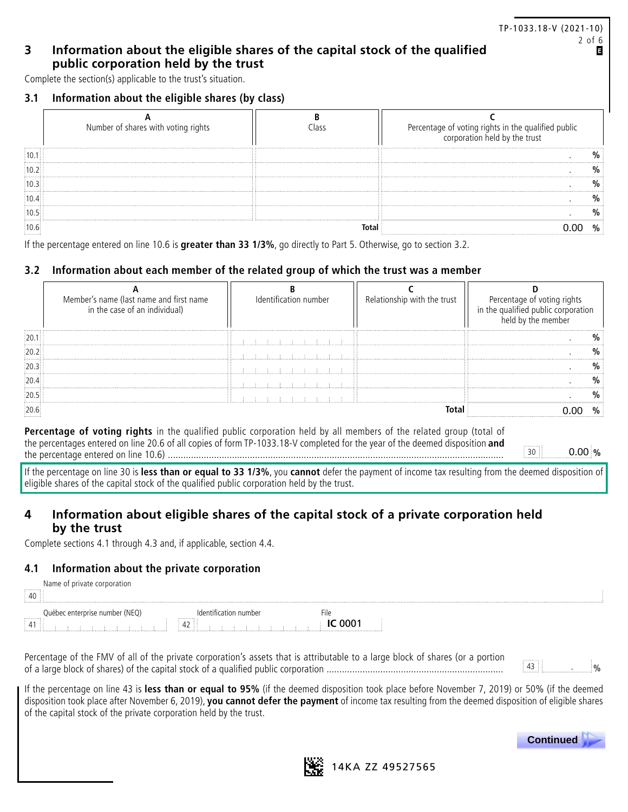## TP-1033.18-V (2021-10) 2 of 6

П

## **3 Information about the eligible shares of the capital stock of the qualified public corporation held by the trust**

Complete the section(s) applicable to the trust's situation.

## **3.1 Information about the eligible shares (by class)**

| Number of shares with voting rights | Percentage of voting rights in the qualified public<br>corporation held by the trust |
|-------------------------------------|--------------------------------------------------------------------------------------|
|                                     |                                                                                      |
|                                     |                                                                                      |
|                                     |                                                                                      |
|                                     |                                                                                      |
|                                     |                                                                                      |
|                                     |                                                                                      |

If the percentage entered on line 10.6 is **greater than 33 1/3%**, go directly to Part 5. Otherwise, go to section 3.2.

## **3.2 Information about each member of the related group of which the trust was a member**

| Member's name (last name and first name<br>in the case of an individual) | Identification number | Relationship with the trust | Percentage of voting ric<br>in the qualified public corpor |
|--------------------------------------------------------------------------|-----------------------|-----------------------------|------------------------------------------------------------|
|                                                                          |                       |                             |                                                            |
|                                                                          |                       |                             |                                                            |
|                                                                          |                       |                             |                                                            |
|                                                                          |                       |                             |                                                            |
| $\cdots$<br>$\cdots$                                                     |                       |                             |                                                            |
|                                                                          |                       |                             |                                                            |

**Percentage of voting rights** in the qualified public corporation held by all members of the related group (total of the percentages entered on line 20.6 of all copies of form TP-1033.18-V completed for the year of the deemed disposition **and** the percentage entered on line 10.6) ................................................................................................................................... <sup>30</sup> . **%**

 $0.00\%$ 

If the percentage on line 30 is **less than or equal to 33 1/3%**, you **cannot** defer the payment of income tax resulting from the deemed disposition of eligible shares of the capital stock of the qualified public corporation held by the trust.

# **4 Information about eligible shares of the capital stock of a private corporation held by the trust**

Complete sections 4.1 through 4.3 and, if applicable, section 4.4.

## **4.1 Information about the private corporation**

|                       | Name of private corporation           |                           |    |  |  |  |
|-----------------------|---------------------------------------|---------------------------|----|--|--|--|
| 40                    |                                       |                           |    |  |  |  |
|                       | (NEO)<br>Québec enterprise number (i) |                           | ше |  |  |  |
| .<br>$\frac{1}{2}$ 41 |                                       | <br>$\sim$<br>42 : :<br>. |    |  |  |  |

Percentage of the FMV of all of the private corporation's assets that is attributable to a large block of shares (or a portion of a large block of shares) of the capital stock of a qualified public corporation ..................................................................... <sup>43</sup> . %

If the percentage on line 43 is **less than or equal to 95%** (if the deemed disposition took place before November 7, 2019) or 50% (if the deemed disposition took place after November 6, 2019), **you cannot defer the payment** of income tax resulting from the deemed disposition of eligible shares of the capital stock of the private corporation held by the trust.



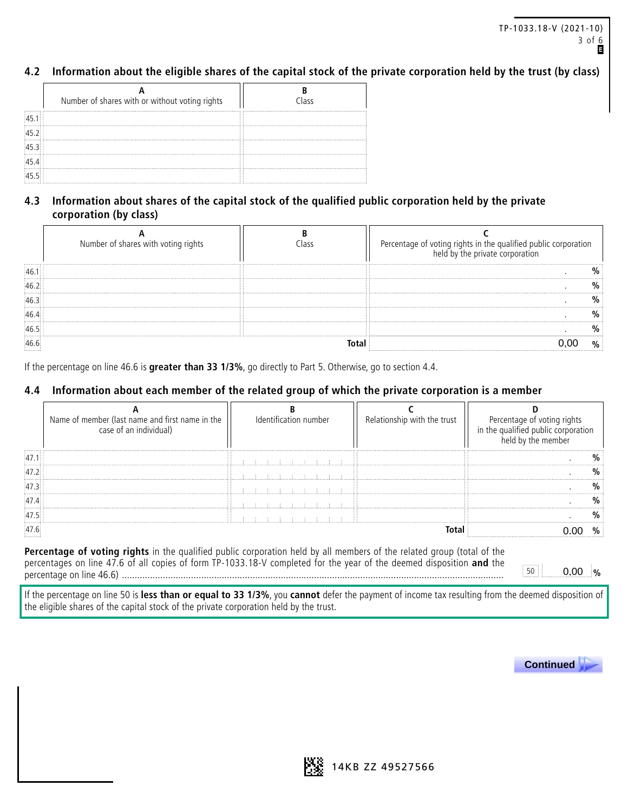## **4.2 Information about the eligible shares of the capital stock of the private corporation held by the trust (by class)**

|                  | Number of shares with or without voting rights | Class |
|------------------|------------------------------------------------|-------|
| 45.1             |                                                |       |
| $\frac{1}{45.2}$ |                                                |       |
| 45.3             |                                                |       |
| 45.4             |                                                |       |
| $\frac{1}{45.5}$ |                                                |       |

# **4.3 Information about shares of the capital stock of the qualified public corporation held by the private corporation (by class)**

| Number of shares with voting rights | Percentage of voting rights in the qualified public corporation<br>held by the private corporation |
|-------------------------------------|----------------------------------------------------------------------------------------------------|
|                                     |                                                                                                    |
|                                     |                                                                                                    |
|                                     |                                                                                                    |
|                                     |                                                                                                    |
|                                     |                                                                                                    |
|                                     |                                                                                                    |

If the percentage on line 46.6 is **greater than 33 1/3%**, go directly to Part 5. Otherwise, go to section 4.4.

## **4.4 Information about each member of the related group of which the private corporation is a member**

| Name of member (last name and first name in the<br>case of an individual) | Identification number | Relationship with the trust | Percentage of voting<br>in the qualified public corpo<br>held by the member |
|---------------------------------------------------------------------------|-----------------------|-----------------------------|-----------------------------------------------------------------------------|
|                                                                           |                       |                             |                                                                             |
|                                                                           |                       |                             |                                                                             |
|                                                                           |                       |                             |                                                                             |
|                                                                           |                       |                             |                                                                             |
| $\sim$<br>$\cdots$                                                        |                       |                             |                                                                             |
|                                                                           |                       |                             |                                                                             |

**Percentage of voting rights** in the qualified public corporation held by all members of the related group (total of the percentages on line 47.6 of all copies of form TP-1033.18-V completed for the year of the deemed disposition **and** the percentage on line 46.6) ..................................................................................................................................................... <sup>50</sup> . **%**

0.00 %

If the percentage on line 50 is **less than or equal to 33 1/3%**, you **cannot** defer the payment of income tax resulting from the deemed disposition of the eligible shares of the capital stock of the private corporation held by the trust.



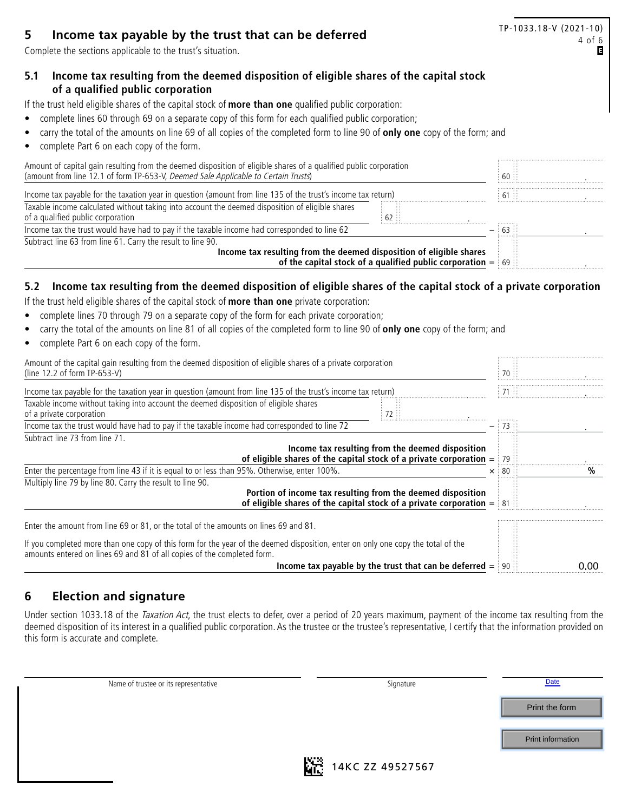Complete the sections applicable to the trust's situation.

# TP-1033.18-V (2021-10) **5** Income tax payable by the trust that can be deferred<br>Complete the sections applicable to the trust's situation.

# **5.1 Income tax resulting from the deemed disposition of eligible shares of the capital stock of a qualified public corporation**

If the trust held eligible shares of the capital stock of **more than one** qualified public corporation:

- complete lines 60 through 69 on a separate copy of this form for each qualified public corporation;
- carry the total of the amounts on line 69 of all copies of the completed form to line 90 of **only one** copy of the form; and
- complete Part 6 on each copy of the form.

| Amount of capital gain resulting from the deemed disposition of eligible shares of a qualified public corporation<br>(amount from line 12.1 of form TP-653-V, Deemed Sale Applicable to Certain Trusts) | -60 Li |
|---------------------------------------------------------------------------------------------------------------------------------------------------------------------------------------------------------|--------|
| Income tax payable for the taxation year in question (amount from line 135 of the trust's income tax return)                                                                                            | $61$ : |
| Taxable income calculated without taking into account the deemed disposition of eligible shares<br>of a qualified public corporation<br>62 ∷                                                            |        |
| Income tax the trust would have had to pay if the taxable income had corresponded to line 62                                                                                                            |        |
| Subtract line 63 from line 61. Carry the result to line 90.                                                                                                                                             |        |
| Income tax resulting from the deemed disposition of eligible shares<br>of the capital stock of a qualified public corporation $=$ 69                                                                    |        |

# **5.2 Income tax resulting from the deemed disposition of eligible shares of the capital stock of a private corporation**

If the trust held eligible shares of the capital stock of **more than one** private corporation:

- complete lines 70 through 79 on a separate copy of the form for each private corporation;
- carry the total of the amounts on line 81 of all copies of the completed form to line 90 of **only one** copy of the form; and
- complete Part 6 on each copy of the form.

| Amount of the capital gain resulting from the deemed disposition of eligible shares of a private corporation<br>(line 12.2 of form $TP-653-V$ )                                                             |               |      |
|-------------------------------------------------------------------------------------------------------------------------------------------------------------------------------------------------------------|---------------|------|
| Income tax payable for the taxation year in question (amount from line 135 of the trust's income tax return)                                                                                                |               |      |
| Taxable income without taking into account the deemed disposition of eligible shares<br>of a private corporation                                                                                            |               |      |
| Income tax the trust would have had to pay if the taxable income had corresponded to line 72                                                                                                                |               |      |
| Subtract line 73 from line 71.                                                                                                                                                                              |               |      |
| Income tax resulting from the deemed disposition<br>of eligible shares of the capital stock of a private corporation $=$ 79                                                                                 |               |      |
| Enter the percentage from line 43 if it is equal to or less than 95%. Otherwise, enter 100%.                                                                                                                | $\times$ : 80 |      |
| Multiply line 79 by line 80. Carry the result to line 90.                                                                                                                                                   |               |      |
| Portion of income tax resulting from the deemed disposition<br>of eligible shares of the capital stock of a private corporation $=$ 81                                                                      |               |      |
| Enter the amount from line 69 or 81, or the total of the amounts on lines 69 and 81.                                                                                                                        |               |      |
| If you completed more than one copy of this form for the year of the deemed disposition, enter on only one copy the total of the<br>amounts entered on lines 69 and 81 of all copies of the completed form. |               |      |
| Income tax payable by the trust that can be deferred $=$ 90                                                                                                                                                 |               | 0.00 |

# **6 Election and signature**

Under section 1033.18 of the Taxation Act, the trust elects to defer, over a period of 20 years maximum, payment of the income tax resulting from the deemed disposition of its interest in a qualified public corporation. As the trustee or the trustee's representative, I certify that the information provided on this form is accurate and complete.

| Name of trustee or its representative | Signature              | Date              |
|---------------------------------------|------------------------|-------------------|
|                                       |                        | Print the form    |
|                                       |                        |                   |
|                                       |                        | Print information |
|                                       | KW.<br>$1112C$ $7710C$ |                   |



**NGC** 14KC ZZ 49527567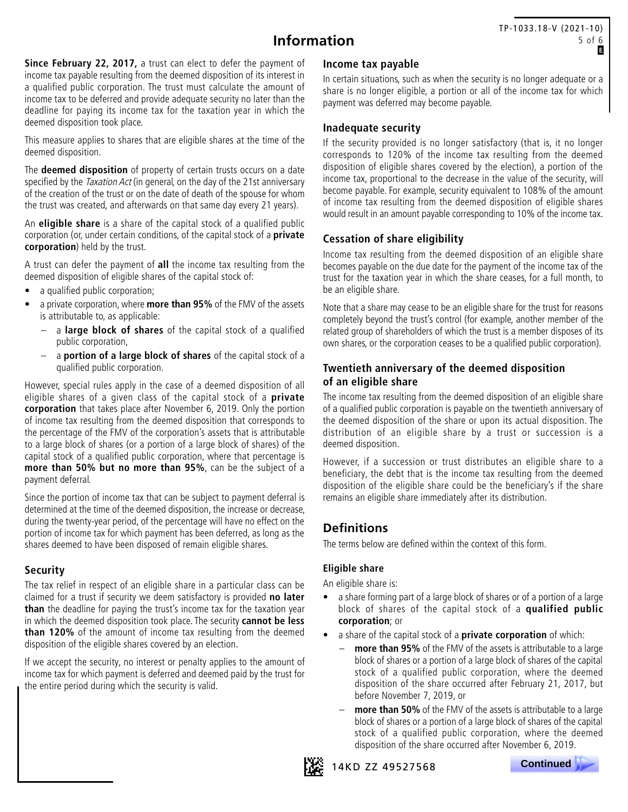# **Information**

**Since February 22, 2017,** a trust can elect to defer the payment of income tax payable resulting from the deemed disposition of its interest in a qualified public corporation. The trust must calculate the amount of income tax to be deferred and provide adequate security no later than the deadline for paying its income tax for the taxation year in which the deemed disposition took place.

This measure applies to shares that are eligible shares at the time of the deemed disposition.

The **deemed disposition** of property of certain trusts occurs on a date specified by the *Taxation Act* (in general, on the day of the 21st anniversary of the creation of the trust or on the date of death of the spouse for whom the trust was created, and afterwards on that same day every 21 years).

An **eligible share** is a share of the capital stock of a qualified public corporation (or, under certain conditions, of the capital stock of a **private corporation**) held by the trust.

A trust can defer the payment of **all** the income tax resulting from the deemed disposition of eligible shares of the capital stock of:

- a qualified public corporation;
- a private corporation, where **more than 95%** of the FMV of the assets is attributable to, as applicable:
	- a **large block of shares** of the capital stock of a qualified public corporation,
	- a **portion of a large block of shares** of the capital stock of a qualified public corporation.

However, special rules apply in the case of a deemed disposition of all eligible shares of a given class of the capital stock of a **private corporation** that takes place after November 6, 2019. Only the portion of income tax resulting from the deemed disposition that corresponds to the percentage of the FMV of the corporation's assets that is attributable to a large block of shares (or a portion of a large block of shares) of the capital stock of a qualified public corporation, where that percentage is **more than 50% but no more than 95%**, can be the subject of a payment deferral.

Since the portion of income tax that can be subject to payment deferral is determined at the time of the deemed disposition, the increase or decrease, during the twenty-year period, of the percentage will have no effect on the portion of income tax for which payment has been deferred, as long as the shares deemed to have been disposed of remain eligible shares.

## **Security**

The tax relief in respect of an eligible share in a particular class can be claimed for a trust if security we deem satisfactory is provided **no later than** the deadline for paying the trust's income tax for the taxation year in which the deemed disposition took place. The security **cannot be less than 120%** of the amount of income tax resulting from the deemed disposition of the eligible shares covered by an election.

If we accept the security, no interest or penalty applies to the amount of income tax for which payment is deferred and deemed paid by the trust for the entire period during which the security is valid.

#### **Income tax payable**

In certain situations, such as when the security is no longer adequate or a share is no longer eligible, a portion or all of the income tax for which payment was deferred may become payable.

## **Inadequate security**

If the security provided is no longer satisfactory (that is, it no longer corresponds to 120% of the income tax resulting from the deemed disposition of eligible shares covered by the election), a portion of the income tax, proportional to the decrease in the value of the security, will become payable. For example, security equivalent to 108% of the amount of income tax resulting from the deemed disposition of eligible shares would result in an amount payable corresponding to 10% of the income tax.

## **Cessation of share eligibility**

Income tax resulting from the deemed disposition of an eligible share becomes payable on the due date for the payment of the income tax of the trust for the taxation year in which the share ceases, for a full month, to be an eligible share.

Note that a share may cease to be an eligible share for the trust for reasons completely beyond the trust's control (for example, another member of the related group of shareholders of which the trust is a member disposes of its own shares, or the corporation ceases to be a qualified public corporation).

## **Twentieth anniversary of the deemed disposition of an eligible share**

The income tax resulting from the deemed disposition of an eligible share of a qualified public corporation is payable on the twentieth anniversary of the deemed disposition of the share or upon its actual disposition. The distribution of an eligible share by a trust or succession is a deemed disposition.

However, if a succession or trust distributes an eligible share to a beneficiary, the debt that is the income tax resulting from the deemed disposition of the eligible share could be the beneficiary's if the share remains an eligible share immediately after its distribution.

# **Definitions**

The terms below are defined within the context of this form.

## **Eligible share**

An eligible share is:

- a share forming part of a large block of shares or of a portion of a large block of shares of the capital stock of a **qualified public corporation**; or
- a share of the capital stock of a **private corporation** of which:
	- **more than 95%** of the FMV of the assets is attributable to a large block of shares or a portion of a large block of shares of the capital stock of a qualified public corporation, where the deemed disposition of the share occurred after February 21, 2017, but before November 7, 2019, or
	- more than 50% of the FMV of the assets is attributable to a large block of shares or a portion of a large block of shares of the capital stock of a qualified public corporation, where the deemed disposition of the share occurred after November 6, 2019.



14KD ZZ 49527568

 **Continued .**